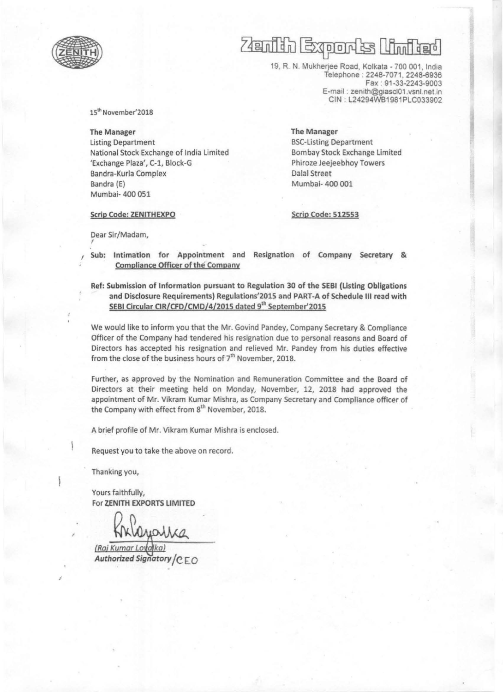

## $(48$ n $10$ EXPLOIT S LAM TEL

19, R. N. Mukherjee Road, Kolkal a - 700 001, India Telephone : 2248-7071, 2248-6936 Fax : 91 -33-2243-9003 E-mail : zenith@giascl01.vsnl.net.in CIN : L24294WB1981PLC033902

15" November'201S

The Manager Listing Department National Stock Exchange of India Limited 'Exchange Plaza', C-l, Block-G Bandra-Kurla Complex Bandra (E) Mumbai- 400 051

The Manager BSC-Listing Department Bombay Stock Exchange Limited Phiroze Jeejeebhoy Towers Dalal Street Mumbai- 400 001

Scrip Code: ZENITHEXPO

Scrip Code: 512553

Dear Sir/Madam,

, Sub: Intimation for Appointment and Resignation of Company Secretary & Compliance Officer of the Company

Ref: Submission of Information pursuant to Regulation 30 of the SEBI (listing Obligations and Disclosure Requirements) Reguiations'201S and PART-A of Schedule III read with SEBI Circular CIR/CFD/CMD/4/2015 dated 9<sup>th</sup> September'2015

We would like to inform you that the Mr. Govind Pandey, Company Secretary & Compliance Officer of the Company had tendered his resignation due to personal reasons and Board of Directors has accepted his resignation and relieved Mr. Pandey from his duties effective from the close of the business hours of  $7<sup>th</sup>$  November, 2018.

Further, as approved by the Nomination and Remuneration Committee and the Board of Directors at their meeting held on Monday, November, 12, 2018 had approved the appointment of Mr. Vikram Kumar Mishra, as Company Secretary and Compliance officer of the Company with effect from 8<sup>th</sup> November, 2018.

A brief profile of Mr. Vikram Kumar Mishra is enclosed.

Request you to take the above on record.

Thanking you,

Yours faithfully, For ZENITH EXPORTS LIMITED

**Authorized Signatory** *I* **CEO**